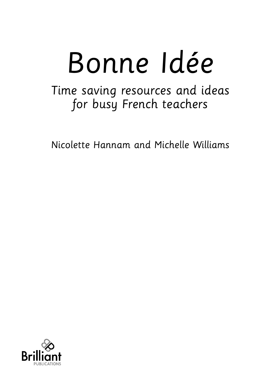# Bonne Idée

Time saving resources and ideas for busy French teachers

Nicolette Hannam and Michelle Williams

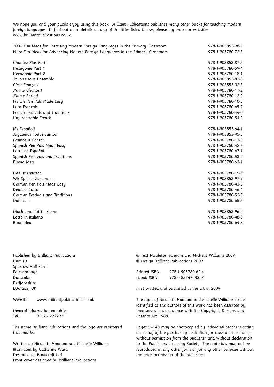We hope you and your pupils enjoy using this book. Brilliant Publications publishes many other books for teaching modern foreign languages. To find out more details on any of the titles listed below, please log onto our website: www.brilliantpublications.co.uk.

| 100+ Fun Ideas for Practising Modern Foreign Languages in the Primary Classroom | 978-1-903853-98-6 |
|---------------------------------------------------------------------------------|-------------------|
| More Fun Ideas for Advancing Modern Foreign Languages in the Primary Classroom  | 978-1-905780-72-3 |
| Chantez Plus Fort!                                                              | 978-1-903853-37-5 |
| Hexagonie Part 1                                                                | 978-1-905780-59-4 |
| Hexagonie Part 2                                                                | 978-1-905780-18-1 |
| Jouons Tous Ensemble                                                            | 978-1-903853-81-8 |
| C'est Français!                                                                 | 978-1-903853-02-3 |
| J'aime Chanter!                                                                 | 978-1-905780-11-2 |
| J'aime Parler!                                                                  | 978-1-905780-12-9 |
| French Pen Pals Made Easy                                                       | 978-1-905780-10-5 |
| Loto Français                                                                   | 978-1-905780-45-7 |
| French Festivals and Traditions                                                 | 978-1-905780-44-0 |
| Unforgettable French                                                            | 978-1-905780-54-9 |
| iEs Español!                                                                    | 978-1-903853-64-1 |
| Juguemos Todos Juntos                                                           | 978-1-903853-95-5 |
| iVamos a Cantar!                                                                | 978-1-905780-13-6 |
| Spanish Pen Pals Made Easy                                                      | 978-1-905780-42-6 |
| Lotto en Español                                                                | 978-1-905780-47-1 |
| Spanish Festivals and Traditions                                                | 978-1-905780-53-2 |
| Buena Idea                                                                      | 978-1-905780-63-1 |
| Das ist Deutsch                                                                 | 978-1-905780-15-0 |
| Wir Spielen Zusammen                                                            | 978-1-903853-97-9 |
| German Pen Pals Made Easy                                                       | 978-1-905780-43-3 |
| Deutsch-Lotto                                                                   | 978-1-905780-46-4 |
| German Festivals and Traditions                                                 | 978-1-905780-52-5 |
| Gute Idee                                                                       | 978-1-905780-65-5 |
| Giochiamo Tutti Insieme                                                         | 978-1-903853-96-2 |
| Lotto in Italiano                                                               | 978-1-905780-48-8 |
| Buon'Idea                                                                       | 978-1-905780-64-8 |

Published by Brilliant Publications Unit 10 Sparrow Hall Farm Edlesborough Dunstable Bedfordshire LU6 2ES, UK

Website: www.brilliantpublications.co.uk

General information enquiries: Tel: 01525 222292

The name Brilliant Publications and the logo are registered trademarks.

Written by Nicolette Hannam and Michelle Williams Illustrated by Catherine Ward Designed by Bookcraft Ltd Front cover designed by Brilliant Publications

© Text Nicolette Hannam and Michelle Williams 2009 © Design Brilliant Publications 2009

Printed ISBN: 978-1-905780-62-4 ebook ISBN: 978-0-85747-000-3

First printed and published in the UK in 2009

The right of Nicolette Hannam and Michelle Williams to be identified as the authors of this work has been asserted by themselves in accordance with the Copyright, Designs and Patents Act 1988.

Pages 5–148 may be photocopied by individual teachers acting on behalf of the purchasing institution for classroom use only, without permission from the publisher and without declaration to the Publishers Licensing Society. The materials may not be reproduced in any other form or for any other purpose without the prior permission of the publisher.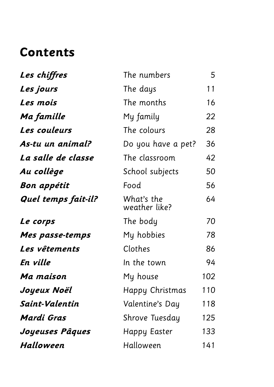### **Contents**

| Les chiffres        | The numbers                 | 5   |
|---------------------|-----------------------------|-----|
| Les jours           | The days                    | 11  |
| Les mois            | The months                  | 16  |
| Ma famille          | My family                   | 22  |
| Les couleurs        | The colours                 | 28  |
| As-tu un animal?    | Do you have a pet?          | 36  |
| La salle de classe  | The classroom               | 42  |
| Au collège          | School subjects             | 50  |
| <b>Bon appétit</b>  | Food                        | 56  |
| Quel temps fait-il? | What's the<br>weather like? | 64  |
| Le corps            | The body                    | 70  |
| Mes passe-temps     | My hobbies                  | 78  |
| Les vêtements       | Clothes                     | 86  |
| En ville            | In the town                 | 94  |
| Ma maison           | My house                    | 102 |
| Joyeux Noël         | Happy Christmas             | 110 |
| Saint-Valentin      | Valentine's Day             | 118 |
| <b>Mardi Gras</b>   | Shrove Tuesday              | 125 |
| Joyeuses Pâques     | <b>Happy Easter</b>         | 133 |
| <b>Halloween</b>    | Halloween                   | 141 |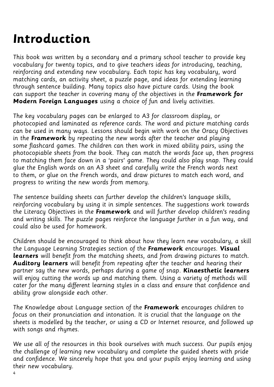### **Introduction**

This book was written by a secondary and a primary school teacher to provide key vocabulary for twenty topics, and to give teachers ideas for introducing, teaching, reinforcing and extending new vocabulary. Each topic has key vocabulary, word matching cards, an activity sheet, a puzzle page, and ideas for extending learning through sentence building. Many topics also have picture cards. Using the book can support the teacher in covering many of the objectives in the **Framework for Modern Foreign Languages** using a choice of fun and lively activities.

The key vocabulary pages can be enlarged to A3 for classroom display, or photocopied and laminated as reference cards. The word and picture matching cards can be used in many ways. Lessons should begin with work on the Oracy Objectives in the **Framework** by repeating the new words after the teacher and playing some flashcard games. The children can then work in mixed ability pairs, using the photocopiable sheets from the book. They can match the words face up, then progress to matching them face down in a 'pairs' game. They could also play snap. They could glue the English words on an A3 sheet and carefully write the French words next to them, or glue on the French words, and draw pictures to match each word, and progress to writing the new words from memory.

The sentence building sheets can further develop the children's language skills, reinforcing vocabulary by using it in simple sentences. The suggestions work towards the Literacy Objectives in the **Framework** and will further develop children's reading and writing skills. The puzzle pages reinforce the language further in a fun way, and could also be used for homework.

Children should be encouraged to think about how they learn new vocabulary, a skill the Language Learning Strategies section of the **Framework** encourages. **Visual learners** will benefit from the matching sheets, and from drawing pictures to match. **Auditory learners** will benefit from repeating after the teacher and hearing their partner say the new words, perhaps during a game of snap. **Kinaesthetic learners** will enjoy cutting the words up and matching them. Using a variety of methods will cater for the many different learning styles in a class and ensure that confidence and ability grow alongside each other.

The Knowledge about Language section of the **Framework** encourages children to focus on their pronunciation and intonation. It is crucial that the language on the sheets is modelled by the teacher, or using a CD or Internet resource, and followed up with songs and rhymes.

We use all of the resources in this book ourselves with much success. Our pupils enjoy the challenge of learning new vocabulary and complete the guided sheets with pride and confidence. We sincerely hope that you and your pupils enjoy learning and using their new vocabulary.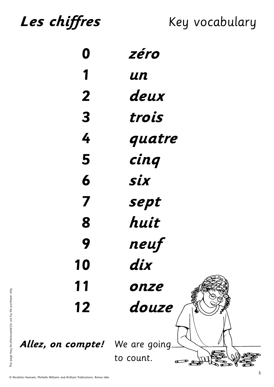Les chiffres Key vocabulary

| 0                                      | zéro      |
|----------------------------------------|-----------|
| 1                                      | un        |
| $\overline{2}$                         | deux      |
| $\overline{\mathbf{3}}$                | trois     |
| 4                                      | quatre    |
| 5                                      | cinq      |
| 6                                      | Six       |
| 7                                      | sept      |
| 8                                      | huit      |
| 9                                      | neuf      |
| 10                                     | dix       |
| 11                                     | onze      |
| 12                                     | douze     |
| <b>Allez, on compte!</b> We are going. | to count. |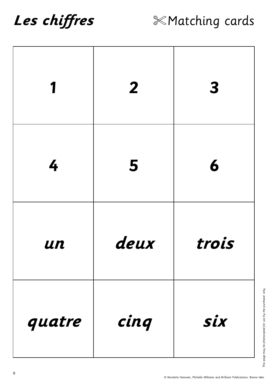# Les chiffres



| 1      | $\overline{2}$ | $\boldsymbol{3}$ |
|--------|----------------|------------------|
| 4      | 5              | 6                |
| un     | deux           | trois            |
| quatre | cinq           | Six              |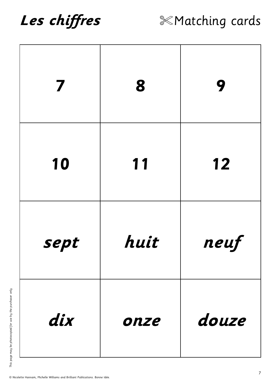

| 7    | 8    | 9     |
|------|------|-------|
| 10   | 11   | 12    |
| sept | huit | neuf  |
| dix  | onze | douze |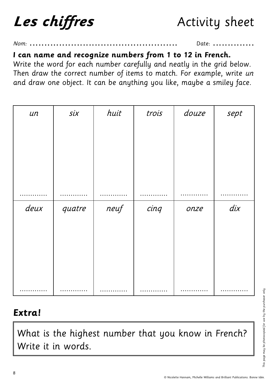**Les chiffres** Activity sheet

### Nom: .................................................. Date: ..............

#### **I can name and recognize numbers from 1 to 12 in French.**

Write the word for each number carefully and neatly in the grid below. Then draw the correct number of items to match. For example, write un and draw one object. It can be anything you like, maybe a smiley face.

| $\mathcal{U}n$ | six    | huit | trois | douze | sept        |
|----------------|--------|------|-------|-------|-------------|
|                |        |      |       |       |             |
|                |        |      |       |       |             |
|                |        |      |       |       |             |
|                |        |      |       |       |             |
|                |        |      |       |       |             |
|                |        |      |       |       |             |
| deux           | quatre | neuf | cinq  | onze  | $\ddot{dx}$ |
|                |        |      |       |       |             |
|                |        |      |       |       |             |
|                |        |      |       |       |             |
|                |        |      |       |       |             |
|                |        |      |       |       |             |
|                |        |      |       |       |             |

### **Extra!**

What is the highest number that you know in French? Write it in words.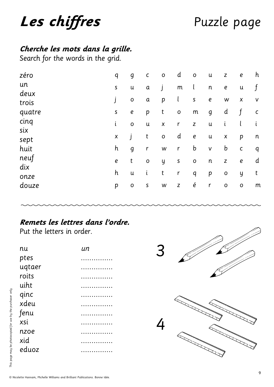# Les chiffres

### Puzzle page

### Cherche les mots dans la grille.

Search for the words in the grid.

| q                  | g              | $\mathsf C$      | $\mathsf O$        | d             | $\mathsf O$       | $\mathsf{u}$   | Z                  | $\pmb{e}$        | h            |
|--------------------|----------------|------------------|--------------------|---------------|-------------------|----------------|--------------------|------------------|--------------|
| $\sf S$            | u              | $\mathfrak a$    | J                  | ${\sf m}$     | $\mathfrak l$     | $\mathsf n$    | $\pmb{e}$          | $\mathsf{u}$     | f            |
|                    | $\mathbf O$    | $\boldsymbol{a}$ | p                  | $\mathfrak l$ | ${\sf S}$         | $\pmb{e}$      | W                  | $\boldsymbol{X}$ | $\sf V$      |
| $\sf S$            | $\pmb{e}$      | p                | t                  | $\mathbf O$   | ${\sf m}$         | $\mathfrak{g}$ | d                  | f                | $\mathsf C$  |
| i                  | $\mathbf O$    | u                | $\pmb{\mathsf{X}}$ | $\mathsf r$   | $\mathsf Z$       | $\mathsf{u}$   | $\mathfrak{t}$     | l                | i            |
| $\pmb{\mathsf{X}}$ | $\overline{1}$ | t                | $\mathsf O$        | d             | $\pmb{e}$         | $\mathsf{u}$   | $\pmb{\mathsf{X}}$ | p                | n            |
| h                  | $\mathfrak{g}$ | $\mathsf r$      | ${\sf W}$          | $\mathsf r$   | b                 | $\sf V$        | b                  | $\mathsf C$      | $\mathsf{q}$ |
| $\pmb{e}$          | t              | $\mathsf O$      | y                  | $\sf S$       | $\mathsf O$       | $\mathsf{n}$   | $\mathsf{Z}$       | $\pmb{e}$        | d            |
| h                  | u              | i                | $\sf t$            | $\mathsf r$   | $\mathsf{q}$      | p              | $\mathsf O$        | y                | t            |
| p                  | $\mathsf O$    | $\sf S$          | W                  | Z             | $\acute{\text e}$ | $\mathsf r$    | $\mathsf O$        | $\mathsf O$      | m            |
|                    |                |                  |                    |               |                   |                |                    |                  |              |

### Remets les lettres dans l'ordre.

Put the letters in order.

| nu     | ип |
|--------|----|
| ptes   |    |
| ugtaer |    |
| roits  |    |
| uiht   |    |
| qinc   |    |
| xdeu   |    |
| fenu   |    |
| xsi    |    |
| nzoe   |    |
| xid    |    |
| eduoz  |    |
|        |    |